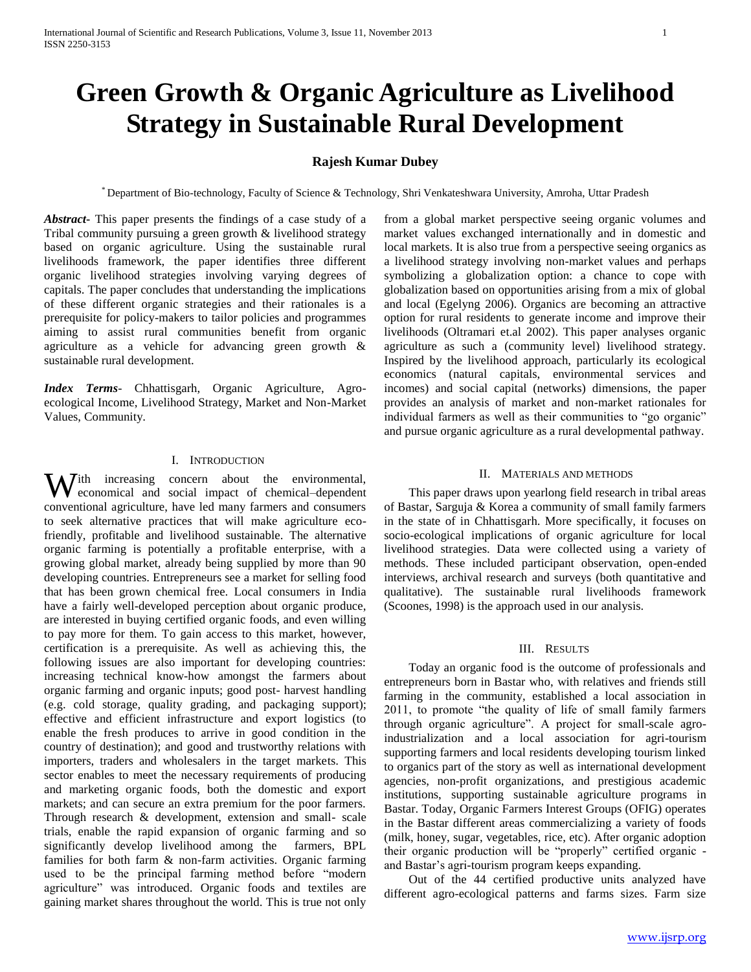# **Green Growth & Organic Agriculture as Livelihood Strategy in Sustainable Rural Development**

# **Rajesh Kumar Dubey**

\* Department of Bio-technology, Faculty of Science & Technology, Shri Venkateshwara University, Amroha, Uttar Pradesh

*Abstract***-** This paper presents the findings of a case study of a Tribal community pursuing a green growth & livelihood strategy based on organic agriculture. Using the sustainable rural livelihoods framework, the paper identifies three different organic livelihood strategies involving varying degrees of capitals. The paper concludes that understanding the implications of these different organic strategies and their rationales is a prerequisite for policy-makers to tailor policies and programmes aiming to assist rural communities benefit from organic agriculture as a vehicle for advancing green growth & sustainable rural development.

*Index Terms*- Chhattisgarh, Organic Agriculture, Agroecological Income, Livelihood Strategy, Market and Non-Market Values, Community.

## I. INTRODUCTION

With increasing concern about the environmental, economical and social impact of chemical-dependent economical and social impact of chemical–dependent conventional agriculture, have led many farmers and consumers to seek alternative practices that will make agriculture ecofriendly, profitable and livelihood sustainable. The alternative organic farming is potentially a profitable enterprise, with a growing global market, already being supplied by more than 90 developing countries. Entrepreneurs see a market for selling food that has been grown chemical free. Local consumers in India have a fairly well-developed perception about organic produce, are interested in buying certified organic foods, and even willing to pay more for them. To gain access to this market, however, certification is a prerequisite. As well as achieving this, the following issues are also important for developing countries: increasing technical know-how amongst the farmers about organic farming and organic inputs; good post- harvest handling (e.g. cold storage, quality grading, and packaging support); effective and efficient infrastructure and export logistics (to enable the fresh produces to arrive in good condition in the country of destination); and good and trustworthy relations with importers, traders and wholesalers in the target markets. This sector enables to meet the necessary requirements of producing and marketing organic foods, both the domestic and export markets; and can secure an extra premium for the poor farmers. Through research & development, extension and small- scale trials, enable the rapid expansion of organic farming and so significantly develop livelihood among the farmers, BPL families for both farm & non-farm activities. Organic farming used to be the principal farming method before "modern agriculture" was introduced. Organic foods and textiles are gaining market shares throughout the world. This is true not only

from a global market perspective seeing organic volumes and market values exchanged internationally and in domestic and local markets. It is also true from a perspective seeing organics as a livelihood strategy involving non-market values and perhaps symbolizing a globalization option: a chance to cope with globalization based on opportunities arising from a mix of global and local (Egelyng 2006). Organics are becoming an attractive option for rural residents to generate income and improve their livelihoods (Oltramari et.al 2002). This paper analyses organic agriculture as such a (community level) livelihood strategy. Inspired by the livelihood approach, particularly its ecological economics (natural capitals, environmental services and incomes) and social capital (networks) dimensions, the paper provides an analysis of market and non-market rationales for individual farmers as well as their communities to "go organic" and pursue organic agriculture as a rural developmental pathway.

## II. MATERIALS AND METHODS

 This paper draws upon yearlong field research in tribal areas of Bastar, Sarguja & Korea a community of small family farmers in the state of in Chhattisgarh. More specifically, it focuses on socio-ecological implications of organic agriculture for local livelihood strategies. Data were collected using a variety of methods. These included participant observation, open-ended interviews, archival research and surveys (both quantitative and qualitative). The sustainable rural livelihoods framework (Scoones, 1998) is the approach used in our analysis.

## III. RESULTS

 Today an organic food is the outcome of professionals and entrepreneurs born in Bastar who, with relatives and friends still farming in the community, established a local association in 2011, to promote "the quality of life of small family farmers through organic agriculture". A project for small-scale agroindustrialization and a local association for agri-tourism supporting farmers and local residents developing tourism linked to organics part of the story as well as international development agencies, non-profit organizations, and prestigious academic institutions, supporting sustainable agriculture programs in Bastar. Today, Organic Farmers Interest Groups (OFIG) operates in the Bastar different areas commercializing a variety of foods (milk, honey, sugar, vegetables, rice, etc). After organic adoption their organic production will be "properly" certified organic and Bastar's agri-tourism program keeps expanding.

 Out of the 44 certified productive units analyzed have different agro-ecological patterns and farms sizes. Farm size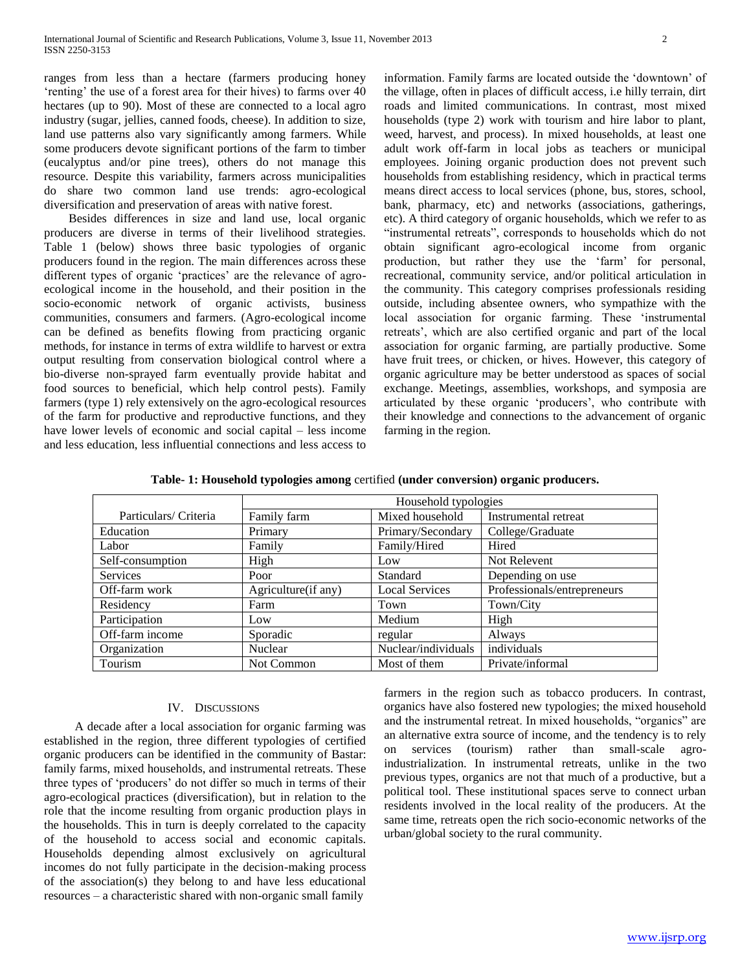ranges from less than a hectare (farmers producing honey 'renting' the use of a forest area for their hives) to farms over 40 hectares (up to 90). Most of these are connected to a local agro industry (sugar, jellies, canned foods, cheese). In addition to size, land use patterns also vary significantly among farmers. While some producers devote significant portions of the farm to timber (eucalyptus and/or pine trees), others do not manage this resource. Despite this variability, farmers across municipalities do share two common land use trends: agro-ecological diversification and preservation of areas with native forest.

 Besides differences in size and land use, local organic producers are diverse in terms of their livelihood strategies. Table 1 (below) shows three basic typologies of organic producers found in the region. The main differences across these different types of organic 'practices' are the relevance of agroecological income in the household, and their position in the socio-economic network of organic activists, business communities, consumers and farmers. (Agro-ecological income can be defined as benefits flowing from practicing organic methods, for instance in terms of extra wildlife to harvest or extra output resulting from conservation biological control where a bio-diverse non-sprayed farm eventually provide habitat and food sources to beneficial, which help control pests). Family farmers (type 1) rely extensively on the agro-ecological resources of the farm for productive and reproductive functions, and they have lower levels of economic and social capital – less income and less education, less influential connections and less access to

information. Family farms are located outside the 'downtown' of the village, often in places of difficult access, i.e hilly terrain, dirt roads and limited communications. In contrast, most mixed households (type 2) work with tourism and hire labor to plant, weed, harvest, and process). In mixed households, at least one adult work off-farm in local jobs as teachers or municipal employees. Joining organic production does not prevent such households from establishing residency*,* which in practical terms means direct access to local services (phone, bus, stores, school, bank, pharmacy, etc) and networks (associations, gatherings, etc). A third category of organic households, which we refer to as "instrumental retreats", corresponds to households which do not obtain significant agro-ecological income from organic production, but rather they use the 'farm' for personal, recreational, community service, and/or political articulation in the community. This category comprises professionals residing outside, including absentee owners, who sympathize with the local association for organic farming. These 'instrumental retreats', which are also certified organic and part of the local association for organic farming, are partially productive. Some have fruit trees, or chicken, or hives. However, this category of organic agriculture may be better understood as spaces of social exchange. Meetings, assemblies, workshops, and symposia are articulated by these organic 'producers', who contribute with their knowledge and connections to the advancement of organic farming in the region.

**Table- 1: Household typologies among** certified **(under conversion) organic producers.**

|                       | Household typologies |                       |                             |
|-----------------------|----------------------|-----------------------|-----------------------------|
| Particulars/ Criteria | Family farm          | Mixed household       | <b>Instrumental retreat</b> |
| Education             | Primary              | Primary/Secondary     | College/Graduate            |
| Labor                 | Family               | Family/Hired          | Hired                       |
| Self-consumption      | High                 | Low                   | Not Relevent                |
| <b>Services</b>       | Poor                 | Standard              | Depending on use            |
| Off-farm work         | Agriculture (if any) | <b>Local Services</b> | Professionals/entrepreneurs |
| Residency             | Farm                 | Town                  | Town/City                   |
| Participation         | Low                  | Medium                | High                        |
| Off-farm income       | Sporadic             | regular               | Always                      |
| Organization          | Nuclear              | Nuclear/individuals   | individuals                 |
| Tourism               | Not Common           | Most of them          | Private/informal            |

### IV. DISCUSSIONS

 A decade after a local association for organic farming was established in the region, three different typologies of certified organic producers can be identified in the community of Bastar: family farms, mixed households, and instrumental retreats. These three types of 'producers' do not differ so much in terms of their agro-ecological practices (diversification), but in relation to the role that the income resulting from organic production plays in the households. This in turn is deeply correlated to the capacity of the household to access social and economic capitals. Households depending almost exclusively on agricultural incomes do not fully participate in the decision-making process of the association(s) they belong to and have less educational resources – a characteristic shared with non-organic small family

farmers in the region such as tobacco producers. In contrast, organics have also fostered new typologies; the mixed household and the instrumental retreat. In mixed households, "organics" are an alternative extra source of income, and the tendency is to rely on services (tourism) rather than small-scale agroindustrialization. In instrumental retreats, unlike in the two previous types, organics are not that much of a productive, but a political tool. These institutional spaces serve to connect urban residents involved in the local reality of the producers. At the same time, retreats open the rich socio-economic networks of the urban/global society to the rural community.